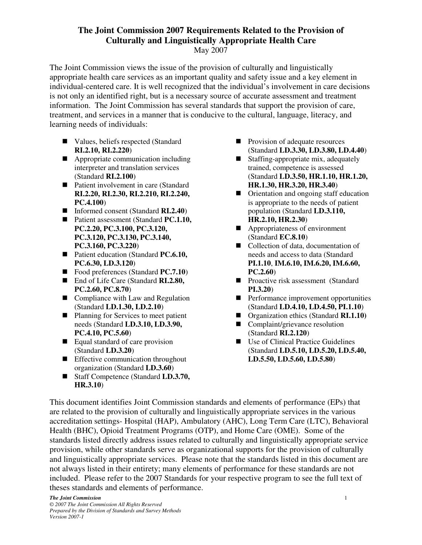# **The Joint Commission 2007 Requirements Related to the Provision of Culturally and Linguistically Appropriate Health Care**

May 2007

The Joint Commission views the issue of the provision of culturally and linguistically appropriate health care services as an important quality and safety issue and a key element in individual-centered care. It is well recognized that the individual's involvement in care decisions is not only an identified right, but is a necessary source of accurate assessment and treatment information. The Joint Commission has several standards that support the provision of care, treatment, and services in a manner that is conducive to the cultural, language, literacy, and learning needs of individuals:

- Values, beliefs respected (Standard **RI.2.10, RI.2.220**)
- $\blacksquare$  Appropriate communication including interpreter and translation services (Standard **RI.2.100**)
- Patient involvement in care (Standard **RI.2.20, RI.2.30, RI.2.210, RI.2.240, PC.4.100**)
- Informed consent (Standard **RI.2.40**)
- Patient assessment (Standard **PC.1.10, PC.2.20, PC.3.100, PC.3.120, PC.3.120, PC.3.130, PC.3.140, PC.3.160, PC.3.220**)
- Patient education (Standard **PC.6.10, PC.6.30, LD.3.120**)
- Food preferences (Standard **PC.7.10**)
- End of Life Care (Standard **RI.2.80**, **PC.2.60, PC.8.70**)
- $\Box$  Compliance with Law and Regulation (Standard **LD.1.30, LD.2.10**)
- Planning for Services to meet patient needs (Standard **LD.3.10, LD.3.90, PC.4.10, PC.5.60**)
- $\blacksquare$  Equal standard of care provision (Standard **LD.3.20**)
- $\blacksquare$  Effective communication throughout organization (Standard **LD.3.60**)
- Staff Competence (Standard **LD.3.70, HR.3.10**)
- $\blacksquare$  Provision of adequate resources (Standard **LD.3.30, LD.3.80, LD.4.40**)
- $\blacksquare$  Staffing-appropriate mix, adequately trained, competence is assessed (Standard **LD.3.50, HR.1.10, HR.1.20, HR.1.30, HR.3.20, HR.3.40**)
- $\blacksquare$  Orientation and ongoing staff education is appropriate to the needs of patient population (Standard **LD.3.110, HR.2.10, HR.2.30**)
- Appropriateness of environment (Standard **EC.8.10**)
- Collection of data, documentation of needs and access to data (Standard **PI.1.10**, **IM.6.10, IM.6.20, IM.6.60, PC.2.60**)
- Proactive risk assessment (Standard **PI.3.20**)
- n Performance improvement opportunities (Standard **LD.4.10, LD.4.50, PI.1.10**)
- Organization ethics (Standard **RI.1.10)**
- $\Box$  Complaint/grievance resolution (Standard **RI.2.120**)
- Use of Clinical Practice Guidelines (Standard **LD.5.10, LD.5.20, LD.5.40, LD.5.50, LD.5.60, LD.5.80**)

This document identifies Joint Commission standards and elements of performance (EPs) that are related to the provision of culturally and linguistically appropriate services in the various accreditation settings- Hospital (HAP), Ambulatory (AHC), Long Term Care (LTC), Behavioral Health (BHC), Opioid Treatment Programs (OTP), and Home Care (OME). Some of the standards listed directly address issues related to culturally and linguistically appropriate service provision, while other standards serve as organizational supports for the provision of culturally and linguistically appropriate services. Please note that the standards listed in this document are not always listed in their entirety; many elements of performance for these standards are not included. Please refer to the 2007 Standards for your respective program to see the full text of theses standards and elements of performance.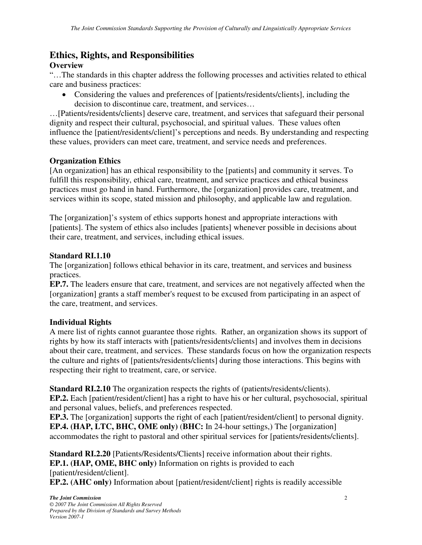# **Ethics, Rights, and Responsibilities**

## **Overview**

"…The standards in this chapter address the following processes and activities related to ethical care and business practices:

• Considering the values and preferences of [patients/residents/clients], including the decision to discontinue care, treatment, and services…

…[Patients/residents/clients] deserve care, treatment, and services that safeguard their personal dignity and respect their cultural, psychosocial, and spiritual values. These values often influence the [patient/residents/client]'s perceptions and needs. By understanding and respecting these values, providers can meet care, treatment, and service needs and preferences.

## **Organization Ethics**

[An organization] has an ethical responsibility to the [patients] and community it serves. To fulfill this responsibility, ethical care, treatment, and service practices and ethical business practices must go hand in hand. Furthermore, the [organization] provides care, treatment, and services within its scope, stated mission and philosophy, and applicable law and regulation.

The [organization]'s system of ethics supports honest and appropriate interactions with [patients]. The system of ethics also includes [patients] whenever possible in decisions about their care, treatment, and services, including ethical issues.

#### **Standard RI.1.10**

The [organization] follows ethical behavior in its care, treatment, and services and business practices.

**EP.7.** The leaders ensure that care, treatment, and services are not negatively affected when the [organization] grants a staff member's request to be excused from participating in an aspect of the care, treatment, and services.

## **Individual Rights**

A mere list of rights cannot guarantee those rights. Rather, an organization shows its support of rights by how its staff interacts with [patients/residents/clients] and involves them in decisions about their care, treatment, and services. These standards focus on how the organization respects the culture and rights of [patients/residents/clients] during those interactions. This begins with respecting their right to treatment, care, or service.

**Standard RI.2.10** The organization respects the rights of (patients/residents/clients). **EP.2.** Each [patient/resident/client] has a right to have his or her cultural, psychosocial, spiritual and personal values, beliefs, and preferences respected.

**EP.3.** The [organization] supports the right of each [patient/resident/client] to personal dignity. **EP.4. (HAP, LTC, BHC, OME only)** (**BHC:** In 24-hour settings,) The [organization] accommodates the right to pastoral and other spiritual services for [patients/residents/clients].

**Standard RI.2.20** [Patients/Residents/Clients] receive information about their rights. **EP.1. (HAP, OME, BHC only)** Information on rights is provided to each [patient/resident/client]. **EP.2. (AHC only)** Information about [patient/resident/client] rights is readily accessible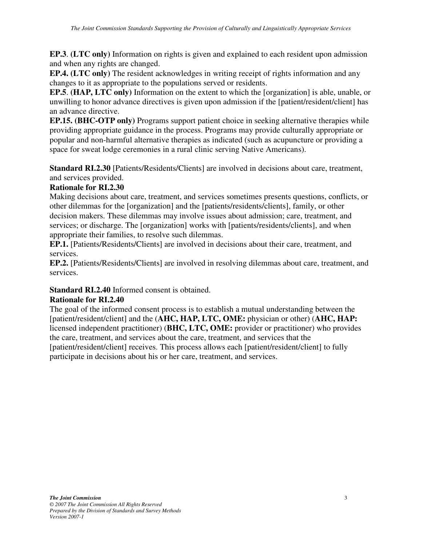**EP.3**. **(LTC only)** Information on rights is given and explained to each resident upon admission and when any rights are changed.

**EP.4. (LTC only)** The resident acknowledges in writing receipt of rights information and any changes to it as appropriate to the populations served or residents.

**EP.5**. **(HAP, LTC only)** Information on the extent to which the [organization] is able, unable, or unwilling to honor advance directives is given upon admission if the [patient/resident/client] has an advance directive.

**EP.15. (BHC-OTP only)** Programs support patient choice in seeking alternative therapies while providing appropriate guidance in the process. Programs may provide culturally appropriate or popular and non-harmful alternative therapies as indicated (such as acupuncture or providing a space for sweat lodge ceremonies in a rural clinic serving Native Americans).

**Standard RI.2.30** [Patients/Residents/Clients] are involved in decisions about care, treatment, and services provided.

#### **Rationale for RI.2.30**

Making decisions about care, treatment, and services sometimes presents questions, conflicts, or other dilemmas for the [organization] and the [patients/residents/clients], family, or other decision makers. These dilemmas may involve issues about admission; care, treatment, and services; or discharge. The [organization] works with [patients/residents/clients], and when appropriate their families, to resolve such dilemmas.

**EP.1.** [Patients/Residents/Clients] are involved in decisions about their care, treatment, and services.

**EP.2.** [Patients/Residents/Clients] are involved in resolving dilemmas about care, treatment, and services.

## **Standard RI.2.40** Informed consent is obtained.

## **Rationale for RI.2.40**

The goal of the informed consent process is to establish a mutual understanding between the [patient/resident/client] and the (**AHC, HAP, LTC, OME:** physician or other) (**AHC, HAP:**  licensed independent practitioner) (**BHC, LTC, OME:** provider or practitioner) who provides the care, treatment, and services about the care, treatment, and services that the [patient/resident/client] receives. This process allows each [patient/resident/client] to fully participate in decisions about his or her care, treatment, and services.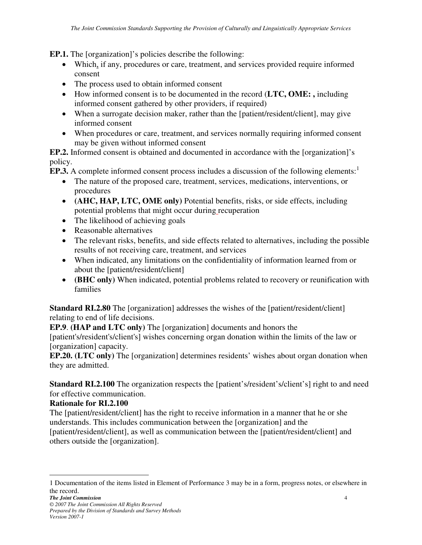**EP.1.** The [organization]'s policies describe the following:

- Which, if any, procedures or care, treatment, and services provided require informed consent
- The process used to obtain informed consent
- How informed consent is to be documented in the record (**LTC, OME: ,** including informed consent gathered by other providers, if required)
- When a surrogate decision maker, rather than the [patient/resident/client], may give informed consent
- When procedures or care, treatment, and services normally requiring informed consent may be given without informed consent

**EP.2.** Informed consent is obtained and documented in accordance with the [organization]'s policy.

**EP.3.** A complete informed consent process includes a discussion of the following elements:<sup>1</sup>

- The nature of the proposed care, treatment, services, medications, interventions, or procedures
- **(AHC, HAP, LTC, OME only)** Potential benefits, risks, or side effects, including potential problems that might occur during recuperation
- The likelihood of achieving goals
- Reasonable alternatives
- The relevant risks, benefits, and side effects related to alternatives, including the possible results of not receiving care, treatment, and services
- When indicated, any limitations on the confidentiality of information learned from or about the [patient/resident/client]
- **(BHC only)** When indicated, potential problems related to recovery or reunification with families

**Standard RI.2.80** The [organization] addresses the wishes of the [patient/resident/client] relating to end of life decisions.

**EP.9**. **(HAP and LTC only)** The [organization] documents and honors the

[patient's/resident's/client's] wishes concerning organ donation within the limits of the law or [organization] capacity.

**EP.20. (LTC only)** The [organization] determines residents' wishes about organ donation when they are admitted.

**Standard RI.2.100** The organization respects the [patient's/resident's/client's] right to and need for effective communication.

## **Rationale for RI.2.100**

 $\overline{a}$ 

The [patient/resident/client] has the right to receive information in a manner that he or she understands. This includes communication between the [organization] and the [patient/resident/client], as well as communication between the [patient/resident/client] and others outside the [organization].

<sup>1</sup> Documentation of the items listed in Element of Performance 3 may be in a form, progress notes, or elsewhere in the record.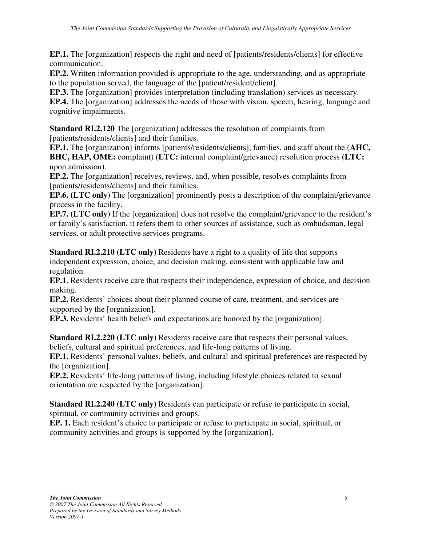**EP.1.** The [organization] respects the right and need of [patients/residents/clients] for effective communication.

**EP.2.** Written information provided is appropriate to the age, understanding, and as appropriate to the population served, the language of the [patient/resident/client].

**EP.3.** The [organization] provides interpretation (including translation) services as necessary.

**EP.4.** The [organization] addresses the needs of those with vision, speech, hearing, language and cognitive impairments.

**Standard RI.2.120** The [organization] addresses the resolution of complaints from [patients/residents/clients] and their families.

**EP.1.** The [organization] informs [patients/residents/clients], families, and staff about the (**AHC, BHC, HAP, OME:** complaint) (**LTC:** internal complaint/grievance) resolution process **(LTC:**  upon admission**)**.

**EP.2.** The [organization] receives, reviews, and, when possible, resolves complaints from [patients/residents/clients] and their families.

**EP.6. (LTC only)** The [organization] prominently posts a description of the complaint/grievance process in the facility.

**EP.7. (LTC only)** If the [organization] does not resolve the complaint/grievance to the resident's or family's satisfaction, it refers them to other sources of assistance, such as ombudsman, legal services, or adult protective services programs.

**Standard RI.2.210 (LTC only)** Residents have a right to a quality of life that supports independent expression, choice, and decision making, consistent with applicable law and regulation.

**EP.1**. Residents receive care that respects their independence, expression of choice, and decision making.

**EP.2.** Residents' choices about their planned course of care, treatment, and services are supported by the [organization].

**EP.3.** Residents' health beliefs and expectations are honored by the [organization].

**Standard RI.2.220 (LTC only)** Residents receive care that respects their personal values, beliefs, cultural and spiritual preferences, and life-long patterns of living.

**EP.1.** Residents' personal values, beliefs, and cultural and spiritual preferences are respected by the [organization].

**EP.2.** Residents' life-long patterns of living, including lifestyle choices related to sexual orientation are respected by the [organization].

**Standard RI.2.240 (LTC only)** Residents can participate or refuse to participate in social, spiritual, or community activities and groups.

**EP. 1.** Each resident's choice to participate or refuse to participate in social, spiritual, or community activities and groups is supported by the [organization].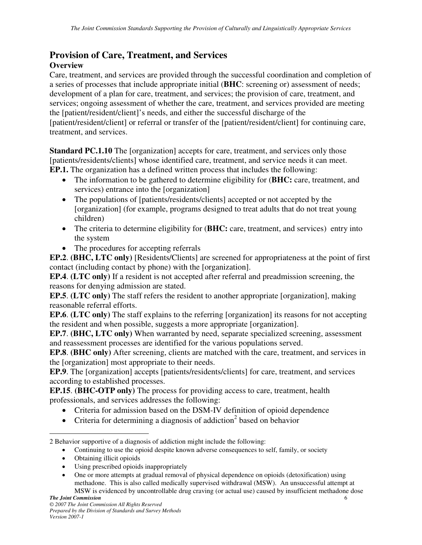#### **Provision of Care, Treatment, and Services Overview**

Care, treatment, and services are provided through the successful coordination and completion of a series of processes that include appropriate initial (**BHC**: screening or) assessment of needs; development of a plan for care, treatment, and services; the provision of care, treatment, and services; ongoing assessment of whether the care, treatment, and services provided are meeting the [patient/resident/client]'s needs, and either the successful discharge of the [patient/resident/client] or referral or transfer of the [patient/resident/client] for continuing care, treatment, and services.

**Standard PC.1.10** The [organization] accepts for care, treatment, and services only those [patients/residents/clients] whose identified care, treatment, and service needs it can meet. **EP.1.** The organization has a defined written process that includes the following:

- The information to be gathered to determine eligibility for (**BHC:** care, treatment, and services) entrance into the [organization]
- The populations of [patients/residents/clients] accepted or not accepted by the [organization] (for example, programs designed to treat adults that do not treat young children)
- The criteria to determine eligibility for (BHC: care, treatment, and services) entry into the system
- The procedures for accepting referrals

**EP.2**. **(BHC, LTC only)** [Residents/Clients] are screened for appropriateness at the point of first contact (including contact by phone) with the [organization].

**EP.4**. **(LTC only)** If a resident is not accepted after referral and preadmission screening, the reasons for denying admission are stated.

**EP.5**. **(LTC only)** The staff refers the resident to another appropriate [organization], making reasonable referral efforts.

**EP.6**. **(LTC only)** The staff explains to the referring [organization] its reasons for not accepting the resident and when possible, suggests a more appropriate [organization].

**EP.7**. **(BHC, LTC only)** When warranted by need, separate specialized screening, assessment and reassessment processes are identified for the various populations served.

**EP.8**. **(BHC only)** After screening, clients are matched with the care, treatment, and services in the [organization] most appropriate to their needs.

**EP.9**. The [organization] accepts [patients/residents/clients] for care, treatment, and services according to established processes.

**EP.15**. **(BHC-OTP only)** The process for providing access to care, treatment, health professionals, and services addresses the following:

- Criteria for admission based on the DSM-IV definition of opioid dependence
- Criteria for determining a diagnosis of addiction<sup>2</sup> based on behavior

- Continuing to use the opioid despite known adverse consequences to self, family, or society
- Obtaining illicit opioids

- Using prescribed opioids inappropriately
- One or more attempts at gradual removal of physical dependence on opioids (detoxification) using methadone. This is also called medically supervised withdrawal (MSW). An unsuccessful attempt at MSW is evidenced by uncontrollable drug craving (or actual use) caused by insufficient methadone dose

<sup>2</sup> Behavior supportive of a diagnosis of addiction might include the following: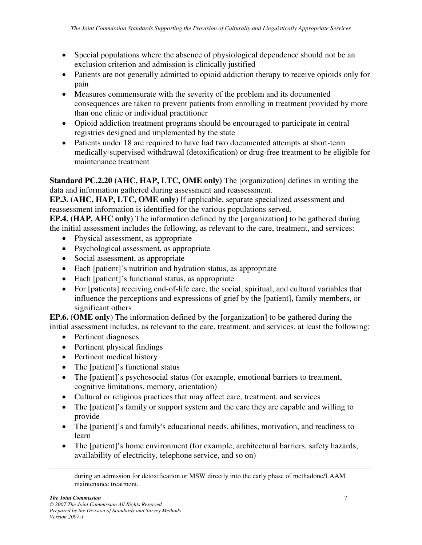- Special populations where the absence of physiological dependence should not be an exclusion criterion and admission is clinically justified
- Patients are not generally admitted to opioid addiction therapy to receive opioids only for pain
- Measures commensurate with the severity of the problem and its documented consequences are taken to prevent patients from enrolling in treatment provided by more than one clinic or individual practitioner
- Opioid addiction treatment programs should be encouraged to participate in central registries designed and implemented by the state
- Patients under 18 are required to have had two documented attempts at short-term medically-supervised withdrawal (detoxification) or drug-free treatment to be eligible for maintenance treatment

**Standard PC.2.20 (AHC, HAP, LTC, OME only)** The [organization] defines in writing the data and information gathered during assessment and reassessment.

**EP.3. (AHC, HAP, LTC, OME only)** If applicable, separate specialized assessment and reassessment information is identified for the various populations served.

**EP.4. (HAP, AHC only)** The information defined by the [organization] to be gathered during the initial assessment includes the following, as relevant to the care, treatment, and services:

- Physical assessment, as appropriate
- Psychological assessment, as appropriate
- Social assessment, as appropriate
- Each [patient]'s nutrition and hydration status, as appropriate
- Each [patient]'s functional status, as appropriate
- For [patients] receiving end-of-life care, the social, spiritual, and cultural variables that influence the perceptions and expressions of grief by the [patient], family members, or significant others

**EP.6.** (**OME only**) The information defined by the [organization] to be gathered during the initial assessment includes, as relevant to the care, treatment, and services, at least the following:

- Pertinent diagnoses
- Pertinent physical findings
- Pertinent medical history
- The [patient]'s functional status
- The [patient]'s psychosocial status (for example, emotional barriers to treatment, cognitive limitations, memory, orientation)
- Cultural or religious practices that may affect care, treatment, and services
- The [patient]'s family or support system and the care they are capable and willing to provide
- The [patient]'s and family's educational needs, abilities, motivation, and readiness to learn
- The [patient]'s home environment (for example, architectural barriers, safety hazards, availability of electricity, telephone service, and so on)

during an admission for detoxification or MSW directly into the early phase of methadone/LAAM maintenance treatment.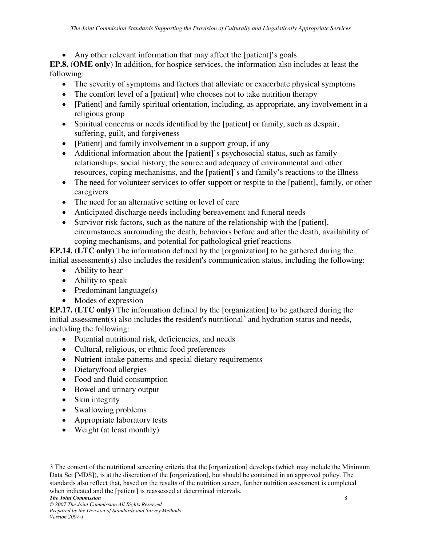• Any other relevant information that may affect the [patient]'s goals

**EP.8.** (**OME only**) In addition, for hospice services, the information also includes at least the following:

- The severity of symptoms and factors that alleviate or exacerbate physical symptoms
- The comfort level of a [patient] who chooses not to take nutrition therapy
- [Patient] and family spiritual orientation, including, as appropriate, any involvement in a religious group
- Spiritual concerns or needs identified by the [patient] or family, such as despair, suffering, guilt, and forgiveness
- [Patient] and family involvement in a support group, if any
- Additional information about the [patient]'s psychosocial status, such as family relationships, social history, the source and adequacy of environmental and other resources, coping mechanisms, and the [patient]'s and family's reactions to the illness
- The need for volunteer services to offer support or respite to the [patient], family, or other caregivers
- The need for an alternative setting or level of care
- Anticipated discharge needs including bereavement and funeral needs
- Survivor risk factors, such as the nature of the relationship with the [patient], circumstances surrounding the death, behaviors before and after the death, availability of coping mechanisms, and potential for pathological grief reactions

**EP.14. (LTC only**) The information defined by the [organization] to be gathered during the initial assessment(s) also includes the resident's communication status, including the following:

- Ability to hear
- Ability to speak
- Predominant language(s)
- Modes of expression

**EP.17. (LTC only)** The information defined by the [organization] to be gathered during the initial assessment(s) also includes the resident's nutritional<sup>3</sup> and hydration status and needs, including the following:

- Potential nutritional risk, deficiencies, and needs
- Cultural, religious, or ethnic food preferences
- Nutrient-intake patterns and special dietary requirements
- Dietary/food allergies
- Food and fluid consumption
- Bowel and urinary output
- Skin integrity
- Swallowing problems
- Appropriate laboratory tests
- Weight (at least monthly)

*The Joint Commission* 8

<sup>3</sup> The content of the nutritional screening criteria that the [organization] develops (which may include the Minimum Data Set [MDS]), is at the discretion of the [organization], but should be contained in an approved policy. The standards also reflect that, based on the results of the nutrition screen, further nutrition assessment is completed when indicated and the [patient] is reassessed at determined intervals.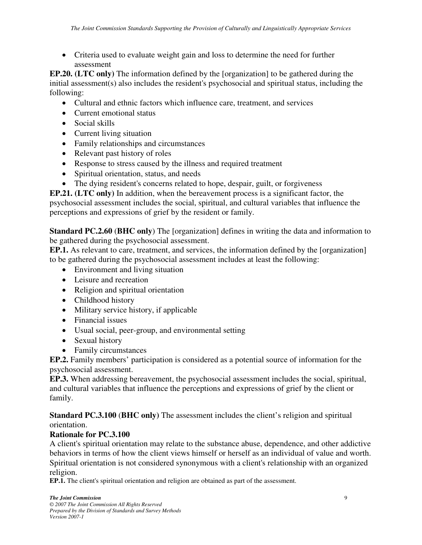• Criteria used to evaluate weight gain and loss to determine the need for further assessment

**EP.20. (LTC only)** The information defined by the [organization] to be gathered during the initial assessment(s) also includes the resident's psychosocial and spiritual status, including the following:

- Cultural and ethnic factors which influence care, treatment, and services
- Current emotional status
- Social skills
- Current living situation
- Family relationships and circumstances
- Relevant past history of roles
- Response to stress caused by the illness and required treatment
- Spiritual orientation, status, and needs
- The dying resident's concerns related to hope, despair, guilt, or forgiveness

**EP.21. (LTC only)** In addition, when the bereavement process is a significant factor, the psychosocial assessment includes the social, spiritual, and cultural variables that influence the perceptions and expressions of grief by the resident or family.

**Standard PC.2.60** (**BHC only**) The [organization] defines in writing the data and information to be gathered during the psychosocial assessment.

**EP.1.** As relevant to care, treatment, and services, the information defined by the [organization] to be gathered during the psychosocial assessment includes at least the following:

- Environment and living situation
- Leisure and recreation
- Religion and spiritual orientation
- Childhood history
- Military service history, if applicable
- Financial issues
- Usual social, peer-group, and environmental setting
- Sexual history
- Family circumstances

**EP.2.** Family members' participation is considered as a potential source of information for the psychosocial assessment.

**EP.3.** When addressing bereavement, the psychosocial assessment includes the social, spiritual, and cultural variables that influence the perceptions and expressions of grief by the client or family.

**Standard PC.3.100** (**BHC only)** The assessment includes the client's religion and spiritual orientation.

## **Rationale for PC.3.100**

A client's spiritual orientation may relate to the substance abuse, dependence, and other addictive behaviors in terms of how the client views himself or herself as an individual of value and worth. Spiritual orientation is not considered synonymous with a client's relationship with an organized religion.

**EP.1.** The client's spiritual orientation and religion are obtained as part of the assessment.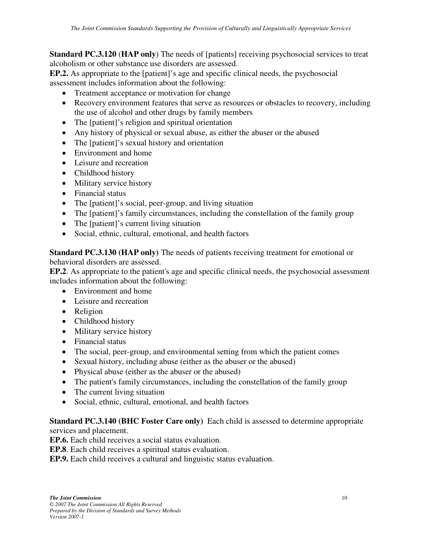**Standard PC.3.120** (**HAP only**) The needs of [patients] receiving psychosocial services to treat alcoholism or other substance use disorders are assessed.

**EP.2.** As appropriate to the [patient]'s age and specific clinical needs, the psychosocial assessment includes information about the following:

- Treatment acceptance or motivation for change
- Recovery environment features that serve as resources or obstacles to recovery, including the use of alcohol and other drugs by family members
- The [patient]'s religion and spiritual orientation
- Any history of physical or sexual abuse, as either the abuser or the abused
- The [patient]'s sexual history and orientation
- Environment and home
- Leisure and recreation
- Childhood history
- Military service history
- Financial status
- The [patient]'s social, peer-group, and living situation
- The [patient]'s family circumstances, including the constellation of the family group
- The [patient]'s current living situation
- Social, ethnic, cultural, emotional, and health factors

**Standard PC.3.130 (HAP only)** The needs of patients receiving treatment for emotional or behavioral disorders are assessed.

**EP.2**. As appropriate to the patient's age and specific clinical needs, the psychosocial assessment includes information about the following:

- Environment and home
- Leisure and recreation
- Religion
- Childhood history
- Military service history
- Financial status
- The social, peer-group, and environmental setting from which the patient comes
- Sexual history, including abuse (either as the abuser or the abused)
- Physical abuse (either as the abuser or the abused)
- The patient's family circumstances, including the constellation of the family group
- The current living situation
- Social, ethnic, cultural, emotional, and health factors

**Standard PC.3.140 (BHC Foster Care only)** Each child is assessed to determine appropriate services and placement.

**EP.6.** Each child receives a social status evaluation.

**EP.8**. Each child receives a spiritual status evaluation.

**EP.9.** Each child receives a cultural and linguistic status evaluation.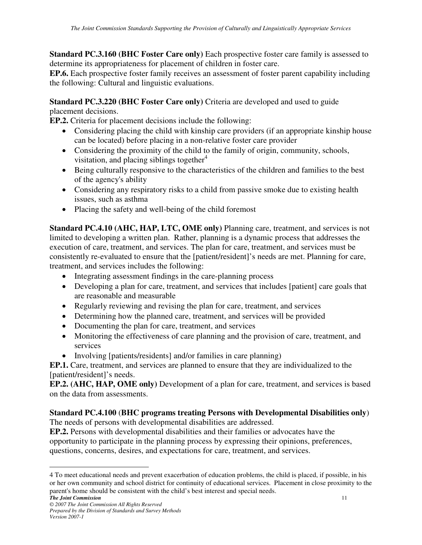**Standard PC.3.160 (BHC Foster Care only)** Each prospective foster care family is assessed to determine its appropriateness for placement of children in foster care.

**EP.6.** Each prospective foster family receives an assessment of foster parent capability including the following: Cultural and linguistic evaluations.

**Standard PC.3.220 (BHC Foster Care only)** Criteria are developed and used to guide placement decisions.

**EP.2.** Criteria for placement decisions include the following:

- Considering placing the child with kinship care providers (if an appropriate kinship house can be located) before placing in a non-relative foster care provider
- Considering the proximity of the child to the family of origin, community, schools, visitation, and placing siblings together $4$
- Being culturally responsive to the characteristics of the children and families to the best of the agency's ability
- Considering any respiratory risks to a child from passive smoke due to existing health issues, such as asthma
- Placing the safety and well-being of the child foremost

**Standard PC.4.10 (AHC, HAP, LTC, OME only)** Planning care, treatment, and services is not limited to developing a written plan. Rather, planning is a dynamic process that addresses the execution of care, treatment, and services. The plan for care, treatment, and services must be consistently re-evaluated to ensure that the [patient/resident]'s needs are met. Planning for care, treatment, and services includes the following:

- Integrating assessment findings in the care-planning process
- Developing a plan for care, treatment, and services that includes [patient] care goals that are reasonable and measurable
- Regularly reviewing and revising the plan for care, treatment, and services
- Determining how the planned care, treatment, and services will be provided
- Documenting the plan for care, treatment, and services
- Monitoring the effectiveness of care planning and the provision of care, treatment, and services
- Involving [patients/residents] and/or families in care planning)

**EP.1.** Care, treatment, and services are planned to ensure that they are individualized to the [patient/resident]'s needs.

**EP.2. (AHC, HAP, OME only)** Development of a plan for care, treatment, and services is based on the data from assessments.

## **Standard PC.4.100** (**BHC programs treating Persons with Developmental Disabilities only**)

The needs of persons with developmental disabilities are addressed.

**EP.2.** Persons with developmental disabilities and their families or advocates have the opportunity to participate in the planning process by expressing their opinions, preferences, questions, concerns, desires, and expectations for care, treatment, and services.

*The Joint Commission* 11

 $\overline{a}$ 4 To meet educational needs and prevent exacerbation of education problems, the child is placed, if possible, in his or her own community and school district for continuity of educational services. Placement in close proximity to the parent's home should be consistent with the child's best interest and special needs.

*<sup>© 2007</sup> The Joint Commission All Rights Reserved Prepared by the Division of Standards and Survey Methods Version 2007-1*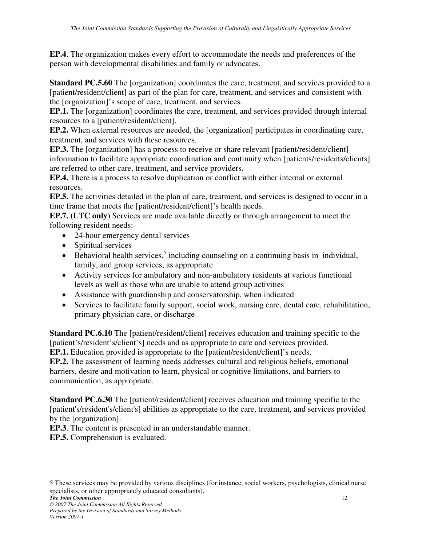**EP.4**. The organization makes every effort to accommodate the needs and preferences of the person with developmental disabilities and family or advocates.

**Standard PC.5.60** The [organization] coordinates the care, treatment, and services provided to a [patient/resident/client] as part of the plan for care, treatment, and services and consistent with the [organization]'s scope of care, treatment, and services.

**EP.1.** The [organization] coordinates the care, treatment, and services provided through internal resources to a [patient/resident/client].

**EP.2.** When external resources are needed, the [organization] participates in coordinating care, treatment, and services with these resources.

**EP.3.** The [organization] has a process to receive or share relevant [patient/resident/client] information to facilitate appropriate coordination and continuity when [patients/residents/clients] are referred to other care, treatment, and service providers.

**EP.4.** There is a process to resolve duplication or conflict with either internal or external resources.

**EP.5.** The activities detailed in the plan of care, treatment, and services is designed to occur in a time frame that meets the [patient/resident/client]'s health needs.

**EP.7. (LTC only**) Services are made available directly or through arrangement to meet the following resident needs:

- 24-hour emergency dental services
- Spiritual services
- $\bullet$  Behavioral health services,<sup>5</sup> including counseling on a continuing basis in individual, family, and group services, as appropriate
- Activity services for ambulatory and non-ambulatory residents at various functional levels as well as those who are unable to attend group activities
- Assistance with guardianship and conservatorship, when indicated
- Services to facilitate family support, social work, nursing care, dental care, rehabilitation, primary physician care, or discharge

**Standard PC.6.10** The [patient/resident/client] receives education and training specific to the [patient's/resident's/client's] needs and as appropriate to care and services provided.

**EP.1.** Education provided is appropriate to the [patient/resident/client]'s needs.

**EP.2.** The assessment of learning needs addresses cultural and religious beliefs, emotional barriers, desire and motivation to learn, physical or cognitive limitations, and barriers to communication, as appropriate.

**Standard PC.6.30** The [patient/resident/client] receives education and training specific to the [patient's/resident's/client's] abilities as appropriate to the care, treatment, and services provided by the [organization].

**EP.3**. The content is presented in an understandable manner.

**EP.5.** Comprehension is evaluated.

*The Joint Commission* 12 5 These services may be provided by various disciplines (for instance, social workers, psychologists, clinical nurse specialists, or other appropriately educated consultants).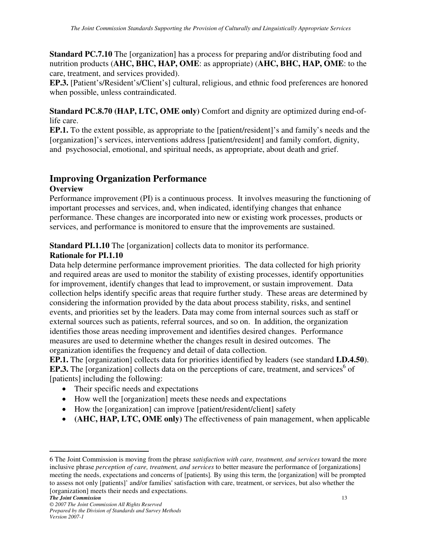**Standard PC.7.10** The [organization] has a process for preparing and/or distributing food and nutrition products (**AHC, BHC, HAP, OME**: as appropriate) (**AHC, BHC, HAP, OME**: to the care, treatment, and services provided).

**EP.3.** [Patient's/Resident's/Client's] cultural, religious, and ethnic food preferences are honored when possible, unless contraindicated.

**Standard PC.8.70 (HAP, LTC, OME only)** Comfort and dignity are optimized during end-oflife care.

**EP.1.** To the extent possible, as appropriate to the [patient/resident]'s and family's needs and the [organization]'s services, interventions address [patient/resident] and family comfort, dignity, and psychosocial, emotional, and spiritual needs, as appropriate, about death and grief.

# **Improving Organization Performance**

#### **Overview**

Performance improvement (PI) is a continuous process. It involves measuring the functioning of important processes and services, and, when indicated, identifying changes that enhance performance. These changes are incorporated into new or existing work processes, products or services, and performance is monitored to ensure that the improvements are sustained.

**Standard PI.1.10** The [organization] collects data to monitor its performance.

## **Rationale for PI.1.10**

Data help determine performance improvement priorities. The data collected for high priority and required areas are used to monitor the stability of existing processes, identify opportunities for improvement, identify changes that lead to improvement, or sustain improvement. Data collection helps identify specific areas that require further study. These areas are determined by considering the information provided by the data about process stability, risks, and sentinel events, and priorities set by the leaders. Data may come from internal sources such as staff or external sources such as patients, referral sources, and so on. In addition, the organization identifies those areas needing improvement and identifies desired changes. Performance measures are used to determine whether the changes result in desired outcomes. The organization identifies the frequency and detail of data collection.

**EP.1.** The [organization] collects data for priorities identified by leaders (see standard **LD.4.50**). **EP.3.** The [organization] collects data on the perceptions of care, treatment, and services<sup>6</sup> of [patients] including the following:

- Their specific needs and expectations
- How well the [organization] meets these needs and expectations
- How the [organization] can improve [patient/resident/client] safety
- **(AHC, HAP, LTC, OME only)** The effectiveness of pain management, when applicable

<sup>6</sup> The Joint Commission is moving from the phrase *satisfaction with care, treatment, and services* toward the more inclusive phrase *perception of care, treatment, and services* to better measure the performance of [organizations] meeting the needs, expectations and concerns of [patients]*.* By using this term, the [organization] will be prompted to assess not only [patients]' and/or families' satisfaction with care, treatment, or services, but also whether the [organization] meets their needs and expectations.

*The Joint Commission* 13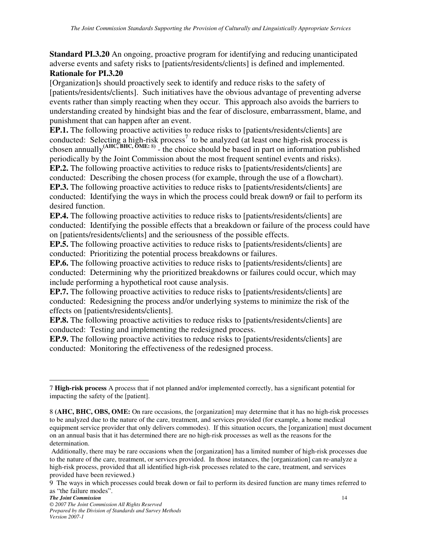**Standard PI.3.20** An ongoing, proactive program for identifying and reducing unanticipated adverse events and safety risks to [patients/residents/clients] is defined and implemented.

## **Rationale for PI.3.20**

[Organization]s should proactively seek to identify and reduce risks to the safety of [patients/residents/clients]. Such initiatives have the obvious advantage of preventing adverse events rather than simply reacting when they occur. This approach also avoids the barriers to understanding created by hindsight bias and the fear of disclosure, embarrassment, blame, and punishment that can happen after an event.

**EP.1.** The following proactive activities to reduce risks to [patients/residents/clients] are conducted: Selecting a high-risk process<sup>7</sup> to be analyzed (at least one high-risk process is chosen annually**(AHC, BHC, OME:** 8**)** - the choice should be based in part on information published periodically by the Joint Commission about the most frequent sentinel events and risks).

**EP.2.** The following proactive activities to reduce risks to [patients/residents/clients] are

conducted: Describing the chosen process (for example, through the use of a flowchart).

**EP.3.** The following proactive activities to reduce risks to [patients/residents/clients] are conducted: Identifying the ways in which the process could break down9 or fail to perform its desired function.

**EP.4.** The following proactive activities to reduce risks to [patients/residents/clients] are conducted: Identifying the possible effects that a breakdown or failure of the process could have on [patients/residents/clients] and the seriousness of the possible effects.

**EP.5.** The following proactive activities to reduce risks to [patients/residents/clients] are conducted: Prioritizing the potential process breakdowns or failures.

**EP.6.** The following proactive activities to reduce risks to [patients/residents/clients] are conducted: Determining why the prioritized breakdowns or failures could occur, which may include performing a hypothetical root cause analysis.

**EP.7.** The following proactive activities to reduce risks to [patients/residents/clients] are conducted: Redesigning the process and/or underlying systems to minimize the risk of the effects on [patients/residents/clients].

**EP.8.** The following proactive activities to reduce risks to [patients/residents/clients] are conducted: Testing and implementing the redesigned process.

**EP.9.** The following proactive activities to reduce risks to [patients/residents/clients] are conducted: Monitoring the effectiveness of the redesigned process.

 $\overline{a}$ 7 **High-risk process** A process that if not planned and/or implemented correctly, has a significant potential for impacting the safety of the [patient].

<sup>8</sup> **(AHC, BHC, OBS, OME:** On rare occasions, the [organization] may determine that it has no high-risk processes to be analyzed due to the nature of the care, treatment, and services provided (for example, a home medical equipment service provider that only delivers commodes). If this situation occurs, the [organization] must document on an annual basis that it has determined there are no high-risk processes as well as the reasons for the determination.

Additionally, there may be rare occasions when the [organization] has a limited number of high-risk processes due to the nature of the care, treatment, or services provided. In those instances, the [organization] can re-analyze a high-risk process, provided that all identified high-risk processes related to the care, treatment, and services provided have been reviewed.**)**

<sup>9</sup> The ways in which processes could break down or fail to perform its desired function are many times referred to as "the failure modes".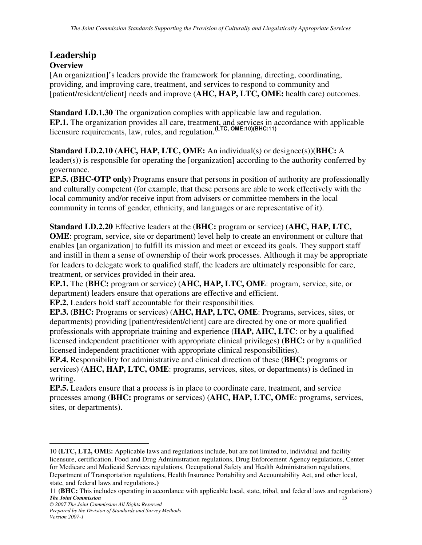# **Leadership**

#### **Overview**

[An organization]'s leaders provide the framework for planning, directing, coordinating, providing, and improving care, treatment, and services to respond to community and [patient/resident/client] needs and improve (**AHC, HAP, LTC, OME:** health care) outcomes.

**Standard LD.1.30** The organization complies with applicable law and regulation. **EP.1.** The organization provides all care, treatment, and services in accordance with applicable licensure requirements, law, rules, and regulation. **(LTC, OME:**10**)(BHC:**11**)**

**Standard LD.2.10** (**AHC, HAP, LTC, OME:** An individual(s) or designee(s))(**BHC:** A leader(s)) is responsible for operating the [organization] according to the authority conferred by governance.

**EP.5. (BHC-OTP only)** Programs ensure that persons in position of authority are professionally and culturally competent (for example, that these persons are able to work effectively with the local community and/or receive input from advisers or committee members in the local community in terms of gender, ethnicity, and languages or are representative of it).

**Standard LD.2.20** Effective leaders at the (**BHC:** program or service) (**AHC, HAP, LTC, OME**: program, service, site or department) level help to create an environment or culture that enables [an organization] to fulfill its mission and meet or exceed its goals. They support staff and instill in them a sense of ownership of their work processes. Although it may be appropriate for leaders to delegate work to qualified staff, the leaders are ultimately responsible for care, treatment, or services provided in their area.

**EP.1.** The (**BHC:** program or service) (**AHC, HAP, LTC, OME**: program, service, site, or department) leaders ensure that operations are effective and efficient.

**EP.2.** Leaders hold staff accountable for their responsibilities.

**EP.3.** (**BHC:** Programs or services) (**AHC, HAP, LTC, OME**: Programs, services, sites, or departments) providing [patient/resident/client] care are directed by one or more qualified professionals with appropriate training and experience (**HAP, AHC, LTC**: or by a qualified licensed independent practitioner with appropriate clinical privileges) (**BHC:** or by a qualified licensed independent practitioner with appropriate clinical responsibilities).

**EP.4.** Responsibility for administrative and clinical direction of these (**BHC:** programs or services) (**AHC, HAP, LTC, OME**: programs, services, sites, or departments) is defined in writing.

**EP.5.** Leaders ensure that a process is in place to coordinate care, treatment, and service processes among (**BHC:** programs or services) (**AHC, HAP, LTC, OME**: programs, services, sites, or departments).

<sup>10</sup> **(LTC, LT2, OME:** Applicable laws and regulations include, but are not limited to, individual and facility licensure, certification, Food and Drug Administration regulations, Drug Enforcement Agency regulations, Center for Medicare and Medicaid Services regulations, Occupational Safety and Health Administration regulations, Department of Transportation regulations, Health Insurance Portability and Accountability Act, and other local, state, and federal laws and regulations.**)** 

**The Joint Commission** 11 **(BHC:** This includes operating in accordance with applicable local, state, tribal, and federal laws and regulations**)**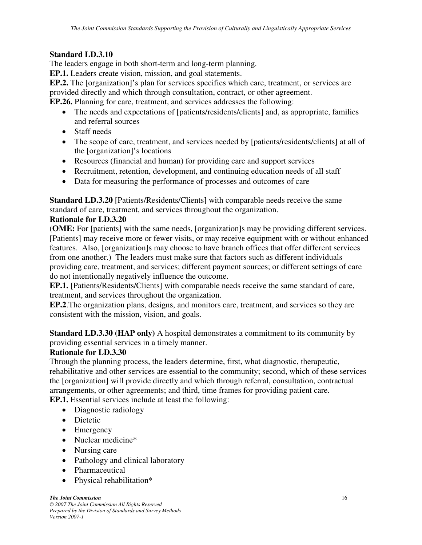#### **Standard LD.3.10**

The leaders engage in both short-term and long-term planning.

**EP.1.** Leaders create vision, mission, and goal statements.

**EP.2.** The [organization]'s plan for services specifies which care, treatment, or services are provided directly and which through consultation, contract, or other agreement.

**EP.26.** Planning for care, treatment, and services addresses the following:

- The needs and expectations of [patients/residents/clients] and, as appropriate, families and referral sources
- Staff needs
- The scope of care, treatment, and services needed by [patients/residents/clients] at all of the [organization]'s locations
- Resources (financial and human) for providing care and support services
- Recruitment, retention, development, and continuing education needs of all staff
- Data for measuring the performance of processes and outcomes of care

**Standard LD.3.20** [Patients/Residents/Clients] with comparable needs receive the same standard of care, treatment, and services throughout the organization.

#### **Rationale for LD.3.20**

(**OME:** For [patients] with the same needs, [organization]s may be providing different services. [Patients] may receive more or fewer visits, or may receive equipment with or without enhanced features. Also, [organization]s may choose to have branch offices that offer different services from one another.) The leaders must make sure that factors such as different individuals providing care, treatment, and services; different payment sources; or different settings of care do not intentionally negatively influence the outcome.

**EP.1.** [Patients/Residents/Clients] with comparable needs receive the same standard of care, treatment, and services throughout the organization.

**EP.2**.The organization plans, designs, and monitors care, treatment, and services so they are consistent with the mission, vision, and goals.

**Standard LD.3.30 (HAP only)** A hospital demonstrates a commitment to its community by providing essential services in a timely manner.

#### **Rationale for LD.3.30**

Through the planning process, the leaders determine, first, what diagnostic, therapeutic, rehabilitative and other services are essential to the community; second, which of these services the [organization] will provide directly and which through referral, consultation, contractual arrangements, or other agreements; and third, time frames for providing patient care.

**EP.1.** Essential services include at least the following:

- Diagnostic radiology
- Dietetic
- Emergency
- Nuclear medicine\*
- Nursing care
- Pathology and clinical laboratory
- Pharmaceutical
- Physical rehabilitation\*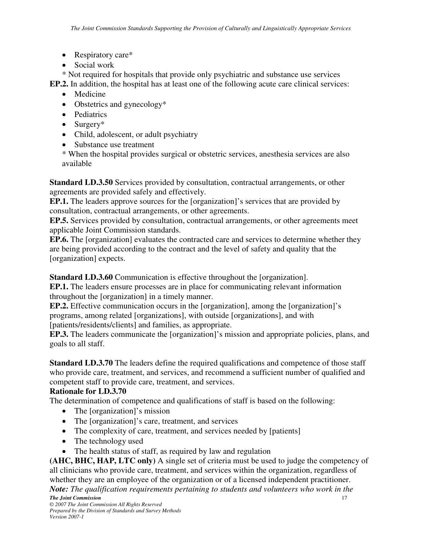- Respiratory care\*
- Social work

\* Not required for hospitals that provide only psychiatric and substance use services

**EP.2.** In addition, the hospital has at least one of the following acute care clinical services:

- Medicine
- Obstetrics and gynecology\*
- Pediatrics
- Surgery\*
- Child, adolescent, or adult psychiatry
- Substance use treatment

\* When the hospital provides surgical or obstetric services, anesthesia services are also available

**Standard LD.3.50** Services provided by consultation, contractual arrangements, or other agreements are provided safely and effectively.

**EP.1.** The leaders approve sources for the [organization]'s services that are provided by consultation, contractual arrangements, or other agreements.

**EP.5.** Services provided by consultation, contractual arrangements, or other agreements meet applicable Joint Commission standards.

**EP.6.** The [organization] evaluates the contracted care and services to determine whether they are being provided according to the contract and the level of safety and quality that the [organization] expects.

**Standard LD.3.60** Communication is effective throughout the [organization].

**EP.1.** The leaders ensure processes are in place for communicating relevant information throughout the [organization] in a timely manner.

**EP.2.** Effective communication occurs in the [organization], among the [organization]'s programs, among related [organizations], with outside [organizations], and with [patients/residents/clients] and families, as appropriate.

**EP.3.** The leaders communicate the [organization]'s mission and appropriate policies, plans, and goals to all staff.

**Standard LD.3.70** The leaders define the required qualifications and competence of those staff who provide care, treatment, and services, and recommend a sufficient number of qualified and competent staff to provide care, treatment, and services.

#### **Rationale for LD.3.70**

The determination of competence and qualifications of staff is based on the following:

- The [organization]'s mission
- The [organization]'s care, treatment, and services
- The complexity of care, treatment, and services needed by [patients]
- The technology used
- The health status of staff, as required by law and regulation

**(AHC, BHC, HAP, LTC only)** A single set of criteria must be used to judge the competency of all clinicians who provide care, treatment, and services within the organization, regardless of whether they are an employee of the organization or of a licensed independent practitioner.

*The Joint Commission* 17 *Note: The qualification requirements pertaining to students and volunteers who work in the*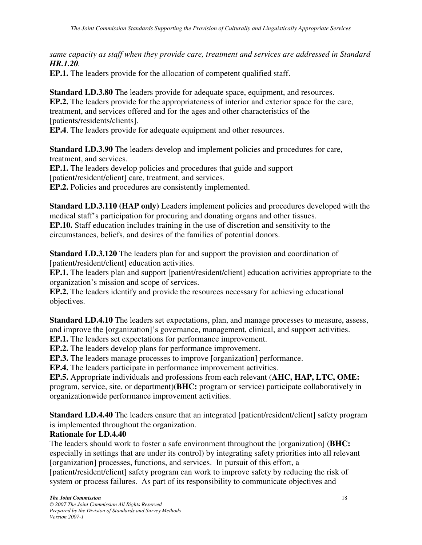*same capacity as staff when they provide care, treatment and services are addressed in Standard HR.1.20.*

**EP.1.** The leaders provide for the allocation of competent qualified staff.

**Standard LD.3.80** The leaders provide for adequate space, equipment, and resources. **EP.2.** The leaders provide for the appropriateness of interior and exterior space for the care, treatment, and services offered and for the ages and other characteristics of the [patients/residents/clients].

**EP.4**. The leaders provide for adequate equipment and other resources.

**Standard LD.3.90** The leaders develop and implement policies and procedures for care, treatment, and services.

**EP.1.** The leaders develop policies and procedures that guide and support [patient/resident/client] care, treatment, and services. **EP.2.** Policies and procedures are consistently implemented.

**Standard LD.3.110 (HAP only)** Leaders implement policies and procedures developed with the medical staff's participation for procuring and donating organs and other tissues. **EP.10.** Staff education includes training in the use of discretion and sensitivity to the circumstances, beliefs, and desires of the families of potential donors.

**Standard LD.3.120** The leaders plan for and support the provision and coordination of [patient/resident/client] education activities.

**EP.1.** The leaders plan and support [patient/resident/client] education activities appropriate to the organization's mission and scope of services.

**EP.2.** The leaders identify and provide the resources necessary for achieving educational objectives.

**Standard LD.4.10** The leaders set expectations, plan, and manage processes to measure, assess, and improve the [organization]'s governance, management, clinical, and support activities.

**EP.1.** The leaders set expectations for performance improvement.

**EP.2.** The leaders develop plans for performance improvement.

**EP.3.** The leaders manage processes to improve [organization] performance.

**EP.4.** The leaders participate in performance improvement activities.

**EP.5.** Appropriate individuals and professions from each relevant (**AHC, HAP, LTC, OME:** program, service, site, or department)(**BHC:** program or service) participate collaboratively in organizationwide performance improvement activities.

**Standard LD.4.40** The leaders ensure that an integrated [patient/resident/client] safety program is implemented throughout the organization.

#### **Rationale for LD.4.40**

The leaders should work to foster a safe environment throughout the [organization] (**BHC:**  especially in settings that are under its control) by integrating safety priorities into all relevant [organization] processes, functions, and services. In pursuit of this effort, a [patient/resident/client] safety program can work to improve safety by reducing the risk of system or process failures. As part of its responsibility to communicate objectives and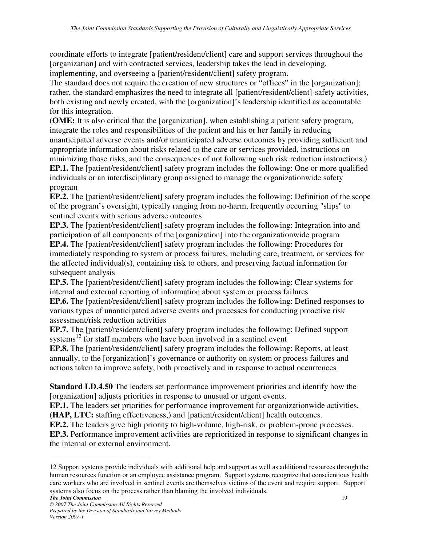coordinate efforts to integrate [patient/resident/client] care and support services throughout the [organization] and with contracted services, leadership takes the lead in developing, implementing, and overseeing a [patient/resident/client] safety program.

The standard does not require the creation of new structures or "offices" in the [organization]; rather, the standard emphasizes the need to integrate all [patient/resident/client]-safety activities, both existing and newly created, with the [organization]'s leadership identified as accountable for this integration.

(**OME:** It is also critical that the [organization], when establishing a patient safety program, integrate the roles and responsibilities of the patient and his or her family in reducing unanticipated adverse events and/or unanticipated adverse outcomes by providing sufficient and appropriate information about risks related to the care or services provided, instructions on minimizing those risks, and the consequences of not following such risk reduction instructions.) **EP.1.** The [patient/resident/client] safety program includes the following: One or more qualified individuals or an interdisciplinary group assigned to manage the organizationwide safety program

**EP.2.** The [patient/resident/client] safety program includes the following: Definition of the scope of the program's oversight, typically ranging from no-harm, frequently occurring "slips" to sentinel events with serious adverse outcomes

**EP.3.** The [patient/resident/client] safety program includes the following: Integration into and participation of all components of the [organization] into the organizationwide program **EP.4.** The [patient/resident/client] safety program includes the following: Procedures for immediately responding to system or process failures, including care, treatment, or services for the affected individual(s), containing risk to others, and preserving factual information for subsequent analysis

**EP.5.** The [patient/resident/client] safety program includes the following: Clear systems for internal and external reporting of information about system or process failures

**EP.6.** The [patient/resident/client] safety program includes the following: Defined responses to various types of unanticipated adverse events and processes for conducting proactive risk assessment/risk reduction activities

**EP.7.** The [patient/resident/client] safety program includes the following: Defined support systems $^{12}$  for staff members who have been involved in a sentinel event

**EP.8.** The [patient/resident/client] safety program includes the following: Reports, at least annually, to the [organization]'s governance or authority on system or process failures and actions taken to improve safety, both proactively and in response to actual occurrences

**Standard LD.4.50** The leaders set performance improvement priorities and identify how the [organization] adjusts priorities in response to unusual or urgent events.

**EP.1.** The leaders set priorities for performance improvement for organizationwide activities,

(**HAP, LTC:** staffing effectiveness,) and [patient/resident/client] health outcomes.

**EP.2.** The leaders give high priority to high-volume, high-risk, or problem-prone processes.

**EP.3.** Performance improvement activities are reprioritized in response to significant changes in the internal or external environment.

*The Joint Commission* 19

<sup>12</sup> Support systems provide individuals with additional help and support as well as additional resources through the human resources function or an employee assistance program. Support systems recognize that conscientious health care workers who are involved in sentinel events are themselves victims of the event and require support. Support systems also focus on the process rather than blaming the involved individuals.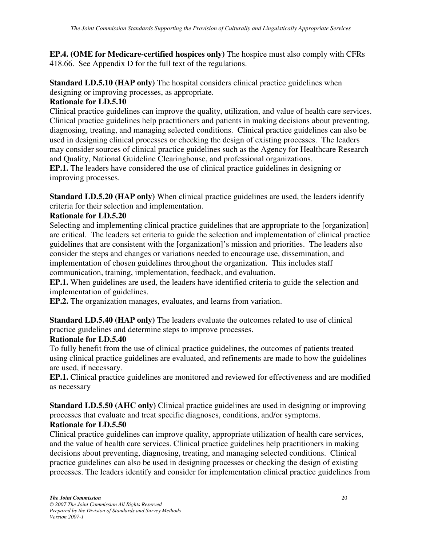**EP.4. (OME for Medicare-certified hospices only)** The hospice must also comply with CFRs 418.66. See Appendix D for the full text of the regulations.

**Standard LD.5.10 (HAP only)** The hospital considers clinical practice guidelines when designing or improving processes, as appropriate.

## **Rationale for LD.5.10**

Clinical practice guidelines can improve the quality, utilization, and value of health care services. Clinical practice guidelines help practitioners and patients in making decisions about preventing, diagnosing, treating, and managing selected conditions. Clinical practice guidelines can also be used in designing clinical processes or checking the design of existing processes. The leaders may consider sources of clinical practice guidelines such as the Agency for Healthcare Research and Quality, National Guideline Clearinghouse, and professional organizations.

**EP.1.** The leaders have considered the use of clinical practice guidelines in designing or improving processes.

**Standard LD.5.20 (HAP only)** When clinical practice guidelines are used, the leaders identify criteria for their selection and implementation.

## **Rationale for LD.5.20**

Selecting and implementing clinical practice guidelines that are appropriate to the [organization] are critical. The leaders set criteria to guide the selection and implementation of clinical practice guidelines that are consistent with the [organization]'s mission and priorities. The leaders also consider the steps and changes or variations needed to encourage use, dissemination, and implementation of chosen guidelines throughout the organization. This includes staff communication, training, implementation, feedback, and evaluation.

**EP.1.** When guidelines are used, the leaders have identified criteria to guide the selection and implementation of guidelines.

**EP.2.** The organization manages, evaluates, and learns from variation.

**Standard LD.5.40 (HAP only)** The leaders evaluate the outcomes related to use of clinical practice guidelines and determine steps to improve processes.

## **Rationale for LD.5.40**

To fully benefit from the use of clinical practice guidelines, the outcomes of patients treated using clinical practice guidelines are evaluated, and refinements are made to how the guidelines are used, if necessary.

**EP.1.** Clinical practice guidelines are monitored and reviewed for effectiveness and are modified as necessary

**Standard LD.5.50 (AHC only)** Clinical practice guidelines are used in designing or improving processes that evaluate and treat specific diagnoses, conditions, and/or symptoms.

## **Rationale for LD.5.50**

Clinical practice guidelines can improve quality, appropriate utilization of health care services, and the value of health care services. Clinical practice guidelines help practitioners in making decisions about preventing, diagnosing, treating, and managing selected conditions. Clinical practice guidelines can also be used in designing processes or checking the design of existing processes. The leaders identify and consider for implementation clinical practice guidelines from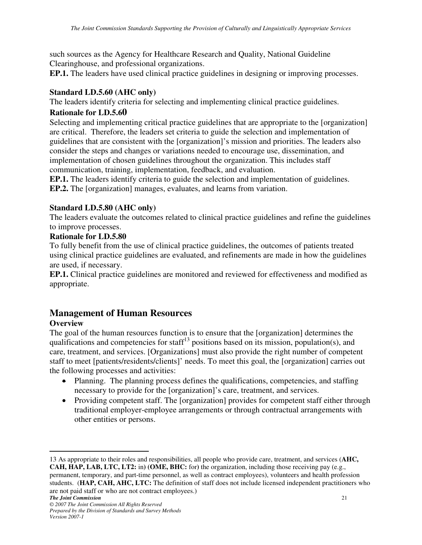such sources as the Agency for Healthcare Research and Quality, National Guideline Clearinghouse, and professional organizations.

**EP.1.** The leaders have used clinical practice guidelines in designing or improving processes.

#### **Standard LD.5.60 (AHC only)**

The leaders identify criteria for selecting and implementing clinical practice guidelines.

#### **Rationale for LD.5.60**

Selecting and implementing critical practice guidelines that are appropriate to the [organization] are critical. Therefore, the leaders set criteria to guide the selection and implementation of guidelines that are consistent with the [organization]'s mission and priorities. The leaders also consider the steps and changes or variations needed to encourage use, dissemination, and implementation of chosen guidelines throughout the organization. This includes staff communication, training, implementation, feedback, and evaluation.

**EP.1.** The leaders identify criteria to guide the selection and implementation of guidelines. **EP.2.** The [organization] manages, evaluates, and learns from variation.

#### **Standard LD.5.80 (AHC only)**

The leaders evaluate the outcomes related to clinical practice guidelines and refine the guidelines to improve processes.

#### **Rationale for LD.5.80**

To fully benefit from the use of clinical practice guidelines, the outcomes of patients treated using clinical practice guidelines are evaluated, and refinements are made in how the guidelines are used, if necessary.

**EP.1.** Clinical practice guidelines are monitored and reviewed for effectiveness and modified as appropriate.

## **Management of Human Resources**

## **Overview**

The goal of the human resources function is to ensure that the [organization] determines the qualifications and competencies for staff<sup>13</sup> positions based on its mission, population(s), and care, treatment, and services. [Organizations] must also provide the right number of competent staff to meet [patients/residents/clients]' needs. To meet this goal, the [organization] carries out the following processes and activities:

- Planning. The planning process defines the qualifications, competencies, and staffing necessary to provide for the [organization]'s care, treatment, and services.
- Providing competent staff. The [organization] provides for competent staff either through traditional employer-employee arrangements or through contractual arrangements with other entities or persons.

 $\overline{a}$ 13 As appropriate to their roles and responsibilities, all people who provide care, treatment, and services (**AHC, CAH, HAP, LAB, LTC, LT2:** in**) (OME, BHC:** for**)** the organization, including those receiving pay (e.g., permanent, temporary, and part-time personnel, as well as contract employees), volunteers and health profession students. (**HAP, CAH, AHC, LTC:** The definition of staff does not include licensed independent practitioners who are not paid staff or who are not contract employees.)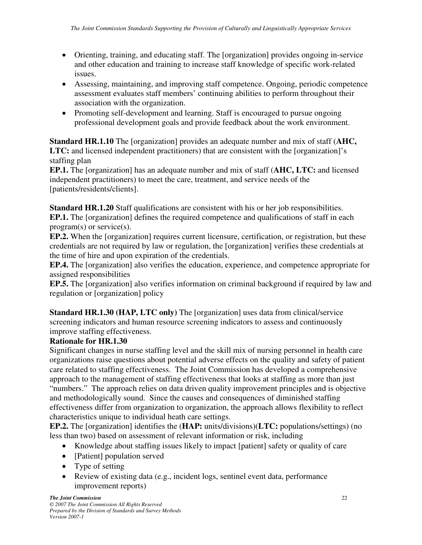- Orienting, training, and educating staff. The [organization] provides ongoing in-service and other education and training to increase staff knowledge of specific work-related issues.
- Assessing, maintaining, and improving staff competence. Ongoing, periodic competence assessment evaluates staff members' continuing abilities to perform throughout their association with the organization.
- Promoting self-development and learning. Staff is encouraged to pursue ongoing professional development goals and provide feedback about the work environment.

**Standard HR.1.10** The [organization] provides an adequate number and mix of staff (**AHC,**  LTC: and licensed independent practitioners) that are consistent with the [organization]'s staffing plan

**EP.1.** The [organization] has an adequate number and mix of staff (**AHC, LTC:** and licensed independent practitioners) to meet the care, treatment, and service needs of the [patients/residents/clients].

**Standard HR.1.20** Staff qualifications are consistent with his or her job responsibilities. **EP.1.** The [organization] defines the required competence and qualifications of staff in each program(s) or service(s).

**EP.2.** When the [organization] requires current licensure, certification, or registration, but these credentials are not required by law or regulation, the [organization] verifies these credentials at the time of hire and upon expiration of the credentials.

**EP.4.** The [organization] also verifies the education, experience, and competence appropriate for assigned responsibilities

**EP.5.** The [organization] also verifies information on criminal background if required by law and regulation or [organization] policy

**Standard HR.1.30 (HAP, LTC only)** The [organization] uses data from clinical/service screening indicators and human resource screening indicators to assess and continuously improve staffing effectiveness.

## **Rationale for HR.1.30**

Significant changes in nurse staffing level and the skill mix of nursing personnel in health care organizations raise questions about potential adverse effects on the quality and safety of patient care related to staffing effectiveness. The Joint Commission has developed a comprehensive approach to the management of staffing effectiveness that looks at staffing as more than just "numbers." The approach relies on data driven quality improvement principles and is objective and methodologically sound. Since the causes and consequences of diminished staffing effectiveness differ from organization to organization, the approach allows flexibility to reflect characteristics unique to individual heath care settings.

**EP.2.** The [organization] identifies the (**HAP:** units/divisions)(**LTC:** populations/settings) (no less than two) based on assessment of relevant information or risk, including

- Knowledge about staffing issues likely to impact [patient] safety or quality of care
- [Patient] population served
- Type of setting
- Review of existing data (e.g., incident logs, sentinel event data, performance improvement reports)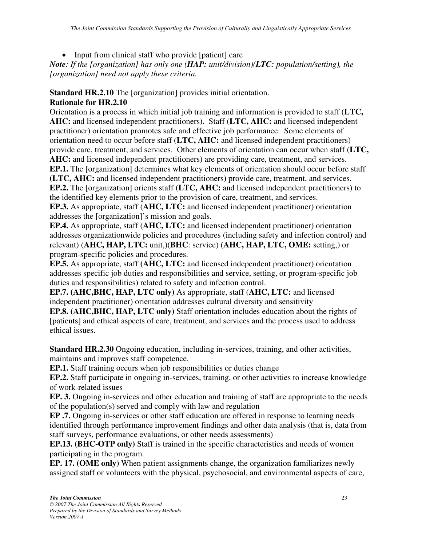• Input from clinical staff who provide [patient] care

*Note: If the [organization] has only one (HAP: unit/division)(LTC: population/setting), the [organization] need not apply these criteria.* 

## **Standard HR.2.10** The [organization] provides initial orientation.

## **Rationale for HR.2.10**

Orientation is a process in which initial job training and information is provided to staff (**LTC, AHC:** and licensed independent practitioners). Staff (**LTC, AHC:** and licensed independent practitioner) orientation promotes safe and effective job performance. Some elements of orientation need to occur before staff (**LTC, AHC:** and licensed independent practitioners) provide care, treatment, and services. Other elements of orientation can occur when staff (**LTC, AHC:** and licensed independent practitioners) are providing care, treatment, and services. **EP.1.** The [organization] determines what key elements of orientation should occur before staff **(LTC, AHC:** and licensed independent practitioners**)** provide care, treatment, and services. **EP.2.** The [organization] orients staff (**LTC, AHC:** and licensed independent practitioners) to the identified key elements prior to the provision of care, treatment, and services. **EP.3.** As appropriate, staff (**AHC, LTC:** and licensed independent practitioner) orientation

addresses the [organization]'s mission and goals.

**EP.4.** As appropriate, staff (**AHC, LTC:** and licensed independent practitioner) orientation addresses organizationwide policies and procedures (including safety and infection control) and relevant) (**AHC, HAP, LTC:** unit,)(**BHC**: service) (**AHC, HAP, LTC, OME:** setting,) or program-specific policies and procedures.

**EP.5.** As appropriate, staff **(AHC, LTC:** and licensed independent practitioner) orientation addresses specific job duties and responsibilities and service, setting, or program-specific job duties and responsibilities) related to safety and infection control.

**EP.7. (AHC,BHC, HAP, LTC only)** As appropriate, staff (**AHC, LTC:** and licensed independent practitioner) orientation addresses cultural diversity and sensitivity

**EP.8. (AHC,BHC, HAP, LTC only)** Staff orientation includes education about the rights of [patients] and ethical aspects of care, treatment, and services and the process used to address ethical issues.

**Standard HR.2.30** Ongoing education, including in-services, training, and other activities, maintains and improves staff competence.

**EP.1.** Staff training occurs when job responsibilities or duties change

**EP.2.** Staff participate in ongoing in-services, training, or other activities to increase knowledge of work-related issues

**EP. 3.** Ongoing in-services and other education and training of staff are appropriate to the needs of the population(s) served and comply with law and regulation

**EP .7.** Ongoing in-services or other staff education are offered in response to learning needs identified through performance improvement findings and other data analysis (that is, data from staff surveys, performance evaluations, or other needs assessments)

**EP.13. (BHC-OTP only)** Staff is trained in the specific characteristics and needs of women participating in the program.

**EP. 17. (OME only)** When patient assignments change, the organization familiarizes newly assigned staff or volunteers with the physical, psychosocial, and environmental aspects of care,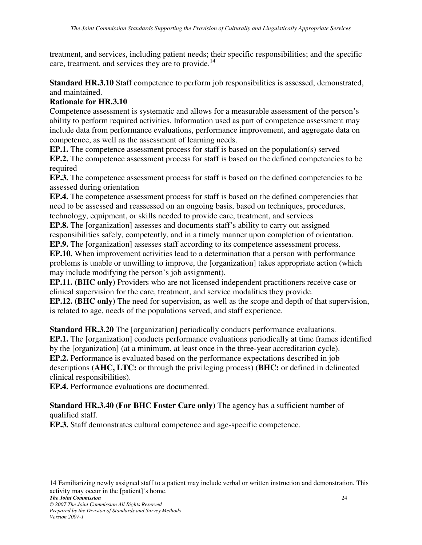treatment, and services, including patient needs; their specific responsibilities; and the specific care, treatment, and services they are to provide.<sup>14</sup>

**Standard HR.3.10** Staff competence to perform job responsibilities is assessed, demonstrated, and maintained.

#### **Rationale for HR.3.10**

Competence assessment is systematic and allows for a measurable assessment of the person's ability to perform required activities. Information used as part of competence assessment may include data from performance evaluations, performance improvement, and aggregate data on competence, as well as the assessment of learning needs.

**EP.1.** The competence assessment process for staff is based on the population(s) served **EP.2.** The competence assessment process for staff is based on the defined competencies to be required

**EP.3.** The competence assessment process for staff is based on the defined competencies to be assessed during orientation

**EP.4.** The competence assessment process for staff is based on the defined competencies that need to be assessed and reassessed on an ongoing basis, based on techniques, procedures, technology, equipment, or skills needed to provide care, treatment, and services

**EP.8.** The [organization] assesses and documents staff's ability to carry out assigned responsibilities safely, competently, and in a timely manner upon completion of orientation.

**EP.9.** The [organization] assesses staff according to its competence assessment process.

**EP.10.** When improvement activities lead to a determination that a person with performance problems is unable or unwilling to improve, the [organization] takes appropriate action (which may include modifying the person's job assignment).

**EP.11. (BHC only)** Providers who are not licensed independent practitioners receive case or clinical supervision for the care, treatment, and service modalities they provide.

**EP.12. (BHC only)** The need for supervision, as well as the scope and depth of that supervision, is related to age, needs of the populations served, and staff experience.

**Standard HR.3.20** The [organization] periodically conducts performance evaluations. **EP.1.** The [organization] conducts performance evaluations periodically at time frames identified by the [organization] (at a minimum, at least once in the three-year accreditation cycle). **EP.2.** Performance is evaluated based on the performance expectations described in job descriptions (**AHC, LTC:** or through the privileging process) (**BHC:** or defined in delineated clinical responsibilities).

**EP.4.** Performance evaluations are documented.

**Standard HR.3.40 (For BHC Foster Care only)** The agency has a sufficient number of qualified staff.

**EP.3.** Staff demonstrates cultural competence and age-specific competence.

*The Joint Commission* 24 14 Familiarizing newly assigned staff to a patient may include verbal or written instruction and demonstration. This activity may occur in the [patient]'s home.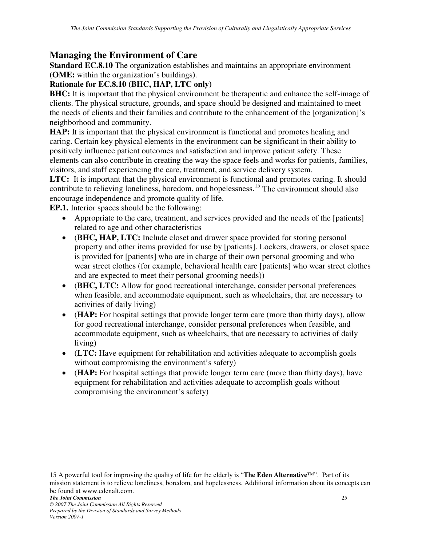## **Managing the Environment of Care**

**Standard EC.8.10** The organization establishes and maintains an appropriate environment **(OME:** within the organization's buildings**)**.

#### **Rationale for EC.8.10 (BHC, HAP, LTC only)**

**BHC:** It is important that the physical environment be therapeutic and enhance the self-image of clients. The physical structure, grounds, and space should be designed and maintained to meet the needs of clients and their families and contribute to the enhancement of the [organization]'s neighborhood and community.

**HAP:** It is important that the physical environment is functional and promotes healing and caring. Certain key physical elements in the environment can be significant in their ability to positively influence patient outcomes and satisfaction and improve patient safety. These elements can also contribute in creating the way the space feels and works for patients, families, visitors, and staff experiencing the care, treatment, and service delivery system.

LTC: It is important that the physical environment is functional and promotes caring. It should contribute to relieving loneliness, boredom, and hopelessness.<sup>15</sup> The environment should also encourage independence and promote quality of life.

**EP.1.** Interior spaces should be the following:

- Appropriate to the care, treatment, and services provided and the needs of the [patients] related to age and other characteristics
- (**BHC, HAP, LTC:** Include closet and drawer space provided for storing personal property and other items provided for use by [patients]. Lockers, drawers, or closet space is provided for [patients] who are in charge of their own personal grooming and who wear street clothes (for example, behavioral health care [patients] who wear street clothes and are expected to meet their personal grooming needs))
- (**BHC, LTC:** Allow for good recreational interchange, consider personal preferences when feasible, and accommodate equipment, such as wheelchairs, that are necessary to activities of daily living)
- (**HAP:** For hospital settings that provide longer term care (more than thirty days), allow for good recreational interchange, consider personal preferences when feasible, and accommodate equipment, such as wheelchairs, that are necessary to activities of daily living)
- (**LTC:** Have equipment for rehabilitation and activities adequate to accomplish goals without compromising the environment's safety)
- (**HAP:** For hospital settings that provide longer term care (more than thirty days), have equipment for rehabilitation and activities adequate to accomplish goals without compromising the environment's safety)

*The Joint Commission* 25 *© 2007 The Joint Commission All Rights Reserved Prepared by the Division of Standards and Survey Methods Version 2007-1* 

<sup>15</sup> A powerful tool for improving the quality of life for the elderly is "**The Eden Alternative**™". Part of its mission statement is to relieve loneliness, boredom, and hopelessness. Additional information about its concepts can be found at www.edenalt.com.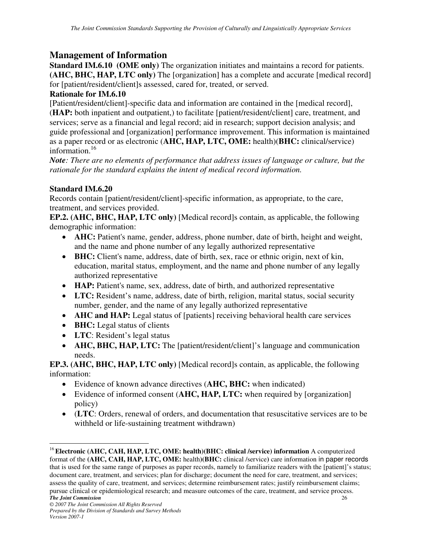## **Management of Information**

**Standard IM.6.10 (OME only)** The organization initiates and maintains a record for patients. **(AHC, BHC, HAP, LTC only)** The [organization] has a complete and accurate [medical record] for [patient/resident/client]s assessed, cared for, treated, or served.

#### **Rationale for IM.6.10**

[Patient/resident/client]-specific data and information are contained in the [medical record], (**HAP:** both inpatient and outpatient,) to facilitate [patient/resident/client] care, treatment, and services; serve as a financial and legal record; aid in research; support decision analysis; and guide professional and [organization] performance improvement. This information is maintained as a paper record or as electronic (**AHC, HAP, LTC, OME:** health)(**BHC:** clinical/service) information.<sup>16</sup>

*Note: There are no elements of performance that address issues of language or culture, but the rationale for the standard explains the intent of medical record information.* 

#### **Standard IM.6.20**

Records contain [patient/resident/client]-specific information, as appropriate, to the care, treatment, and services provided.

**EP.2. (AHC, BHC, HAP, LTC only)** [Medical record]s contain, as applicable, the following demographic information:

- **AHC:** Patient's name, gender, address, phone number, date of birth, height and weight, and the name and phone number of any legally authorized representative
- **BHC:** Client's name, address, date of birth, sex, race or ethnic origin, next of kin, education, marital status, employment, and the name and phone number of any legally authorized representative
- **HAP:** Patient's name, sex, address, date of birth, and authorized representative
- **LTC:** Resident's name, address, date of birth, religion, marital status, social security number, gender, and the name of any legally authorized representative
- **AHC and HAP:** Legal status of [patients] receiving behavioral health care services
- **BHC:** Legal status of clients
- **LTC**: Resident's legal status
- **AHC, BHC, HAP, LTC:** The [patient/resident/client]'s language and communication needs.

**EP.3. (AHC, BHC, HAP, LTC only)** [Medical record]s contain, as applicable, the following information:

- Evidence of known advance directives (**AHC, BHC:** when indicated)
- Evidence of informed consent (**AHC, HAP, LTC:** when required by [organization] policy)
- (**LTC**: Orders, renewal of orders, and documentation that resuscitative services are to be withheld or life-sustaining treatment withdrawn)

*The Joint Commission* 26  $\overline{a}$ <sup>16</sup> Electronic (AHC, CAH, HAP, LTC, OME: health)(BHC: clinical /service) information A computerized format of the **(AHC, CAH, HAP, LTC, OME:** health**)(BHC:** clinical /service**)** care information in paper records that is used for the same range of purposes as paper records, namely to familiarize readers with the [patient]'s status; document care, treatment, and services; plan for discharge; document the need for care, treatment, and services; assess the quality of care, treatment, and services; determine reimbursement rates; justify reimbursement claims; pursue clinical or epidemiological research; and measure outcomes of the care, treatment, and service process.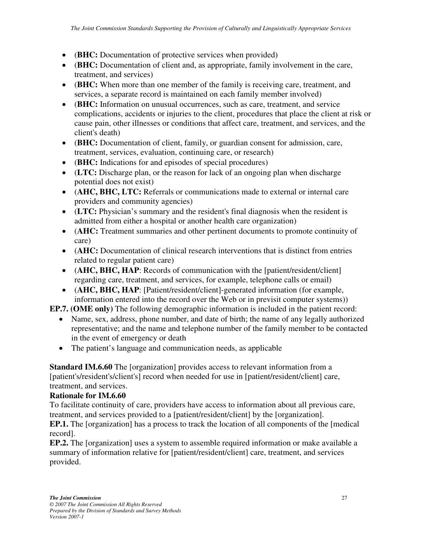- (**BHC:** Documentation of protective services when provided)
- (**BHC:** Documentation of client and, as appropriate, family involvement in the care, treatment, and services)
- (**BHC:** When more than one member of the family is receiving care, treatment, and services, a separate record is maintained on each family member involved)
- (**BHC:** Information on unusual occurrences, such as care, treatment, and service complications, accidents or injuries to the client, procedures that place the client at risk or cause pain, other illnesses or conditions that affect care, treatment, and services, and the client's death)
- (**BHC:** Documentation of client, family, or guardian consent for admission, care, treatment, services, evaluation, continuing care, or research)
- (**BHC:** Indications for and episodes of special procedures)
- (**LTC:** Discharge plan, or the reason for lack of an ongoing plan when discharge potential does not exist)
- (**AHC, BHC, LTC:** Referrals or communications made to external or internal care providers and community agencies)
- (**LTC:** Physician's summary and the resident's final diagnosis when the resident is admitted from either a hospital or another health care organization)
- (**AHC:** Treatment summaries and other pertinent documents to promote continuity of care)
- **(AHC:** Documentation of clinical research interventions that is distinct from entries related to regular patient care)
- (**AHC, BHC, HAP**: Records of communication with the [patient/resident/client] regarding care, treatment, and services, for example, telephone calls or email)
- (**AHC, BHC, HAP**: [Patient/resident/client]-generated information (for example, information entered into the record over the Web or in previsit computer systems))

**EP.7. (OME only)** The following demographic information is included in the patient record:

- Name, sex, address, phone number, and date of birth; the name of any legally authorized representative; and the name and telephone number of the family member to be contacted in the event of emergency or death
- The patient's language and communication needs, as applicable

**Standard IM.6.60** The [organization] provides access to relevant information from a [patient's/resident's/client's] record when needed for use in [patient/resident/client] care, treatment, and services.

## **Rationale for IM.6.60**

To facilitate continuity of care, providers have access to information about all previous care, treatment, and services provided to a [patient/resident/client] by the [organization].

**EP.1.** The [organization] has a process to track the location of all components of the [medical record].

**EP.2.** The [organization] uses a system to assemble required information or make available a summary of information relative for [patient/resident/client] care, treatment, and services provided.